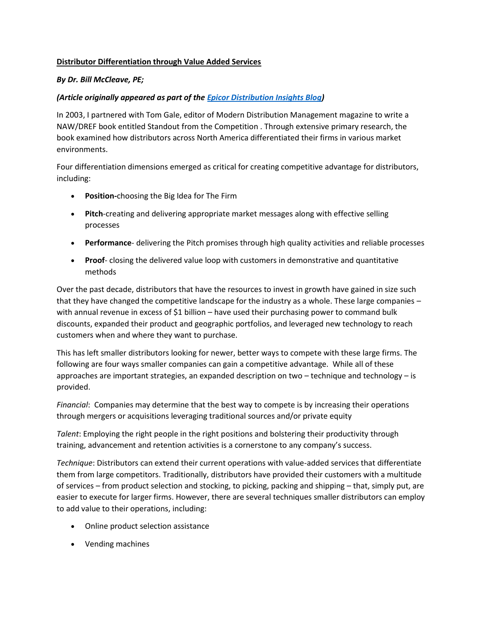## **Distributor Differentiation through Value Added Services**

## *By Dr. Bill McCleave, PE;*

## *(Article originally appeared as part of the [Epicor Distribution Insights Blog\)](https://www.epicor.com/blogs/distribution.aspx)*

In 2003, I partnered with Tom Gale, editor of Modern Distribution Management magazine to write a NAW/DREF book entitled Standout from the Competition . Through extensive primary research, the book examined how distributors across North America differentiated their firms in various market environments.

Four differentiation dimensions emerged as critical for creating competitive advantage for distributors, including:

- **Position-**choosing the Big Idea for The Firm
- **Pitch**-creating and delivering appropriate market messages along with effective selling processes
- **Performance** delivering the Pitch promises through high quality activities and reliable processes
- **Proof** closing the delivered value loop with customers in demonstrative and quantitative methods

Over the past decade, distributors that have the resources to invest in growth have gained in size such that they have changed the competitive landscape for the industry as a whole. These large companies – with annual revenue in excess of \$1 billion – have used their purchasing power to command bulk discounts, expanded their product and geographic portfolios, and leveraged new technology to reach customers when and where they want to purchase.

This has left smaller distributors looking for newer, better ways to compete with these large firms. The following are four ways smaller companies can gain a competitive advantage. While all of these approaches are important strategies, an expanded description on two – technique and technology – is provided.

*Financial*: Companies may determine that the best way to compete is by increasing their operations through mergers or acquisitions leveraging traditional sources and/or private equity

*Talent*: Employing the right people in the right positions and bolstering their productivity through training, advancement and retention activities is a cornerstone to any company's success.

*Technique*: Distributors can extend their current operations with value-added services that differentiate them from large competitors. Traditionally, distributors have provided their customers with a multitude of services – from product selection and stocking, to picking, packing and shipping – that, simply put, are easier to execute for larger firms. However, there are several techniques smaller distributors can employ to add value to their operations, including:

- Online product selection assistance
- Vending machines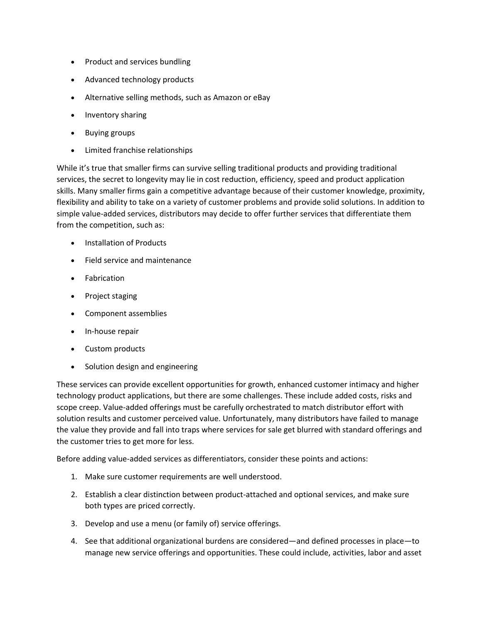- Product and services bundling
- Advanced technology products
- Alternative selling methods, such as Amazon or eBay
- Inventory sharing
- Buying groups
- Limited franchise relationships

While it's true that smaller firms can survive selling traditional products and providing traditional services, the secret to longevity may lie in cost reduction, efficiency, speed and product application skills. Many smaller firms gain a competitive advantage because of their customer knowledge, proximity, flexibility and ability to take on a variety of customer problems and provide solid solutions. In addition to simple value-added services, distributors may decide to offer further services that differentiate them from the competition, such as:

- Installation of Products
- Field service and maintenance
- Fabrication
- Project staging
- Component assemblies
- In-house repair
- Custom products
- Solution design and engineering

These services can provide excellent opportunities for growth, enhanced customer intimacy and higher technology product applications, but there are some challenges. These include added costs, risks and scope creep. Value-added offerings must be carefully orchestrated to match distributor effort with solution results and customer perceived value. Unfortunately, many distributors have failed to manage the value they provide and fall into traps where services for sale get blurred with standard offerings and the customer tries to get more for less.

Before adding value-added services as differentiators, consider these points and actions:

- 1. Make sure customer requirements are well understood.
- 2. Establish a clear distinction between product-attached and optional services, and make sure both types are priced correctly.
- 3. Develop and use a menu (or family of) service offerings.
- 4. See that additional organizational burdens are considered—and defined processes in place—to manage new service offerings and opportunities. These could include, activities, labor and asset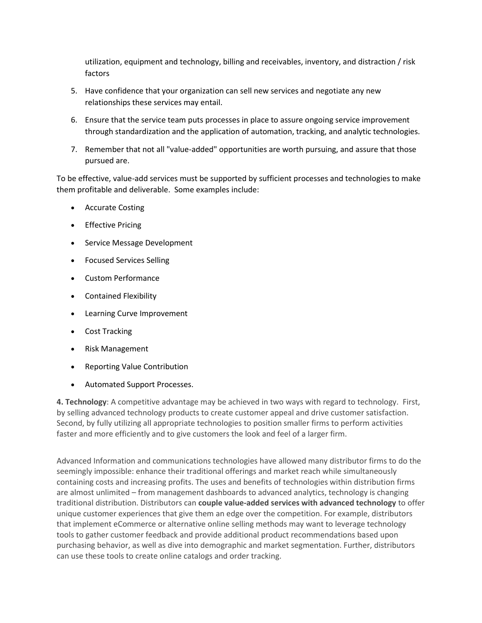utilization, equipment and technology, billing and receivables, inventory, and distraction / risk factors

- 5. Have confidence that your organization can sell new services and negotiate any new relationships these services may entail.
- 6. Ensure that the service team puts processes in place to assure ongoing service improvement through standardization and the application of automation, tracking, and analytic technologies.
- 7. Remember that not all "value-added" opportunities are worth pursuing, and assure that those pursued are.

To be effective, value-add services must be supported by sufficient processes and technologies to make them profitable and deliverable. Some examples include:

- Accurate Costing
- **•** Effective Pricing
- Service Message Development
- Focused Services Selling
- Custom Performance
- Contained Flexibility
- Learning Curve Improvement
- Cost Tracking
- Risk Management
- Reporting Value Contribution
- Automated Support Processes.

**4. Technology**: A competitive advantage may be achieved in two ways with regard to technology. First, by selling advanced technology products to create customer appeal and drive customer satisfaction. Second, by fully utilizing all appropriate technologies to position smaller firms to perform activities faster and more efficiently and to give customers the look and feel of a larger firm.

Advanced Information and communications technologies have allowed many distributor firms to do the seemingly impossible: enhance their traditional offerings and market reach while simultaneously containing costs and increasing profits. The uses and benefits of technologies within distribution firms are almost unlimited – from management dashboards to advanced analytics, technology is changing traditional distribution. Distributors can **couple value-added services with advanced technology** to offer unique customer experiences that give them an edge over the competition. For example, distributors that implement eCommerce or alternative online selling methods may want to leverage technology tools to gather customer feedback and provide additional product recommendations based upon purchasing behavior, as well as dive into demographic and market segmentation. Further, distributors can use these tools to create online catalogs and order tracking.